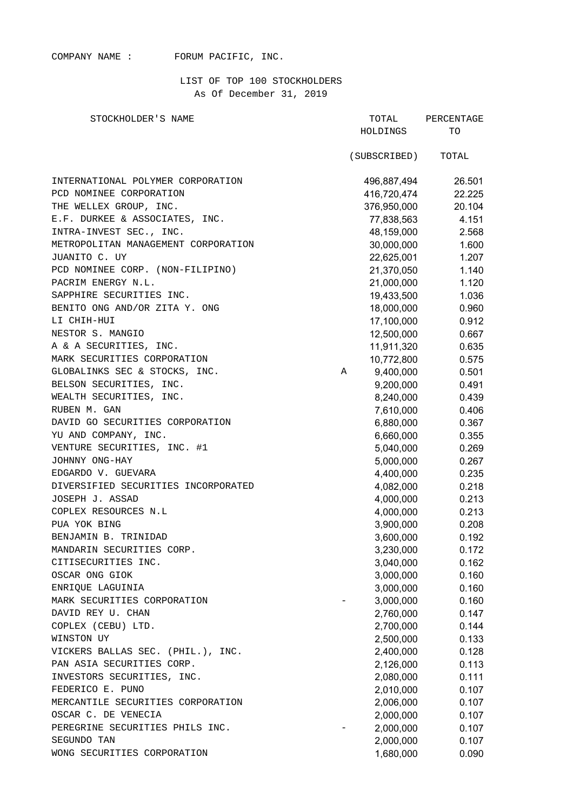## COMPANY NAME : FORUM PACIFIC, INC.

## LIST OF TOP 100 STOCKHOLDERS As Of December 31, 2019

| STOCKHOLDER'S NAME                  |   | TOTAL<br>PERCENTAGE |        |  |
|-------------------------------------|---|---------------------|--------|--|
|                                     |   | HOLDINGS            | TO     |  |
|                                     |   | (SUBSCRIBED)        | TOTAL  |  |
| INTERNATIONAL POLYMER CORPORATION   |   | 496,887,494         | 26.501 |  |
| PCD NOMINEE CORPORATION             |   | 416,720,474         | 22.225 |  |
| THE WELLEX GROUP, INC.              |   | 376,950,000         | 20.104 |  |
| E.F. DURKEE & ASSOCIATES, INC.      |   | 77,838,563          | 4.151  |  |
| INTRA-INVEST SEC., INC.             |   | 48,159,000          | 2.568  |  |
| METROPOLITAN MANAGEMENT CORPORATION |   | 30,000,000          | 1.600  |  |
| JUANITO C. UY                       |   | 22,625,001          | 1.207  |  |
| PCD NOMINEE CORP. (NON-FILIPINO)    |   | 21,370,050          | 1.140  |  |
| PACRIM ENERGY N.L.                  |   | 21,000,000          | 1.120  |  |
| SAPPHIRE SECURITIES INC.            |   | 19,433,500          | 1.036  |  |
| BENITO ONG AND/OR ZITA Y. ONG       |   | 18,000,000          | 0.960  |  |
| LI CHIH-HUI                         |   | 17,100,000          | 0.912  |  |
| NESTOR S. MANGIO                    |   | 12,500,000          | 0.667  |  |
| A & A SECURITIES, INC.              |   | 11,911,320          | 0.635  |  |
| MARK SECURITIES CORPORATION         |   | 10,772,800          | 0.575  |  |
| GLOBALINKS SEC & STOCKS, INC.       | Α | 9,400,000           | 0.501  |  |
| BELSON SECURITIES, INC.             |   | 9,200,000           | 0.491  |  |
| WEALTH SECURITIES, INC.             |   | 8,240,000           | 0.439  |  |
| RUBEN M. GAN                        |   | 7,610,000           | 0.406  |  |
| DAVID GO SECURITIES CORPORATION     |   | 6,880,000           | 0.367  |  |
| YU AND COMPANY, INC.                |   | 6,660,000           | 0.355  |  |
| VENTURE SECURITIES, INC. #1         |   | 5,040,000           | 0.269  |  |
| JOHNNY ONG-HAY                      |   | 5,000,000           | 0.267  |  |
| EDGARDO V. GUEVARA                  |   | 4,400,000           | 0.235  |  |
| DIVERSIFIED SECURITIES INCORPORATED |   | 4,082,000           | 0.218  |  |
| JOSEPH J. ASSAD                     |   | 4,000,000           | 0.213  |  |
| COPLEX RESOURCES N.L                |   | 4,000,000           | 0.213  |  |
| PUA YOK BING                        |   | 3,900,000           | 0.208  |  |
| BENJAMIN B. TRINIDAD                |   | 3,600,000           | 0.192  |  |
| MANDARIN SECURITIES CORP.           |   | 3,230,000           | 0.172  |  |
| CITISECURITIES INC.                 |   | 3,040,000           | 0.162  |  |
| OSCAR ONG GIOK                      |   | 3,000,000           | 0.160  |  |
| ENRIQUE LAGUINIA                    |   | 3,000,000           | 0.160  |  |
| MARK SECURITIES CORPORATION         |   | 3,000,000           | 0.160  |  |
| DAVID REY U. CHAN                   |   | 2,760,000           | 0.147  |  |
| COPLEX (CEBU) LTD.                  |   | 2,700,000           | 0.144  |  |
| WINSTON UY                          |   | 2,500,000           | 0.133  |  |
| VICKERS BALLAS SEC. (PHIL.), INC.   |   | 2,400,000           | 0.128  |  |
| PAN ASIA SECURITIES CORP.           |   | 2,126,000           | 0.113  |  |
| INVESTORS SECURITIES, INC.          |   | 2,080,000           | 0.111  |  |
| FEDERICO E. PUNO                    |   | 2,010,000           | 0.107  |  |
| MERCANTILE SECURITIES CORPORATION   |   |                     | 0.107  |  |
| OSCAR C. DE VENECIA                 |   | 2,006,000           |        |  |
| PEREGRINE SECURITIES PHILS INC.     |   | 2,000,000           | 0.107  |  |
|                                     |   | 2,000,000           | 0.107  |  |
| SEGUNDO TAN                         |   | 2,000,000           | 0.107  |  |
| WONG SECURITIES CORPORATION         |   | 1,680,000           | 0.090  |  |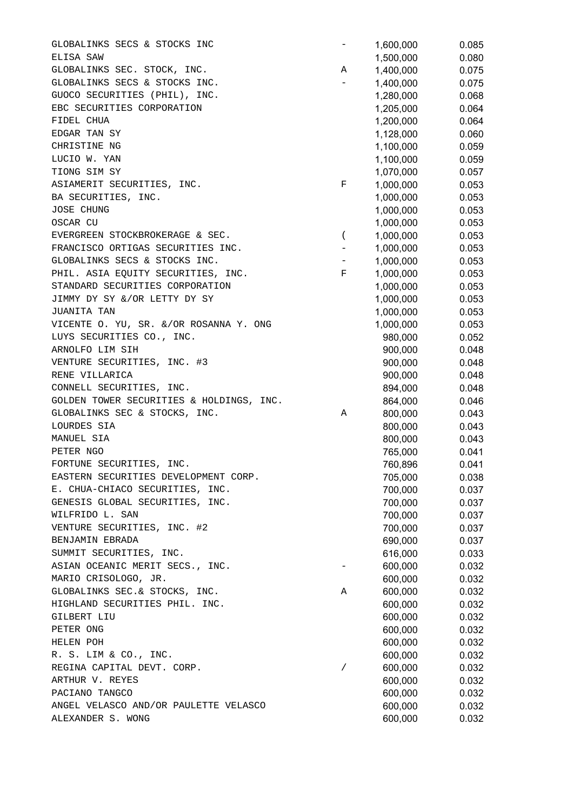GLOBALINKS SECS & STOCKS INC<br>  $-$  1,600,000 0.085 ELISA SAW 0.080 0.080 0.080 0.080 0.080 0.080 0.080 0.080 0.080 0.080 0.080 0.080 0.080 0.080 0.080 0.080 0.080 GLOBALINKS SEC. STOCK, INC. A 1400.000 0.075 GLOBALINKS SECS & STOCKS INC.  $-$  1.400.000 0.075 GUOCO SECURITIES (PHIL), INC. 1,280,000 0.068 EBC SECURITIES CORPORATION 1,205,000 0.064 FIDEL CHUA 1,200,000 0.064 EDGAR TAN SY 1,128,000 0.060 CHRISTINE NG 20059 LUCIO W. YAN 1,100,000 0.059 TIONG SIM SY 6.057 ASIAMERIT SECURITIES, INC. THE REGISTER SECURITIES, INC. BA SECURITIES, INC. 1,000,000 0.053 JOSE CHUNG 0.053 OSCAR CU 1,000,000 0.053 EVERGREEN STOCKBROKERAGE & SEC. (a) 000,000 0.053 FRANCISCO ORTIGAS SECURITIES INC.  $\qquad \qquad -1,000,000$  0.053 GLOBALINKS SECS & STOCKS INC.  $-$  1,000,000 0.053 PHIL. ASIA EQUITY SECURITIES, INC.  $F = 1,000,000$  0.053 STANDARD SECURITIES CORPORATION 1,000,000 0.053 JIMMY DY SY &/OR LETTY DY SY 1,000,000 0.053 JUANITA TAN 1,000,000 0.053 VICENTE O. YU, SR. &/OR ROSANNA Y. ONG 1.000.000 0.053 LUYS SECURITIES CO., INC. 980,000 0.052 ARNOLFO LIM SIH 900,000 0.048 VENTURE SECURITIES, INC. #3 900,000 0.048 RENE VILLARICA 900,000 0.048 CONNELL SECURITIES, INC.  $894,000$  0.048 GOLDEN TOWER SECURITIES & HOLDINGS, INC.  $864,000$  0.046 GLOBALINKS SEC & STOCKS, INC. A 800,000 0.043 LOURDES SIA 800,000 0.043 MANUEL SIA 800,000 0.043 PETER NGO 765,000 0.041 FORTUNE SECURITIES, INC. 760,896 0.041 EASTERN SECURITIES DEVELOPMENT CORP. 705,000 0.038 E. CHUA-CHIACO SECURITIES, INC. 700,000 0.037 GENESIS GLOBAL SECURITIES, INC. 700.000 0.037 WILFRIDO L. SAN 700,000 0.037 VENTURE SECURITIES, INC. #2 700.000 0.037 BENJAMIN EBRADA 690,000 0.037<br>SUMMIT SECURITIES, INC. 616,000 0.033 SUMMIT SECURITIES, INC. 616,000 0.033 ASIAN OCEANIC MERIT SECS., INC.  $-$  600.000 0.032 MARIO CRISOLOGO, JR. 600.000 0.032 GLOBALINKS SEC.& STOCKS, INC. A 600,000 0.032 HIGHLAND SECURITIES PHIL. INC. 600,000 0.032 GILBERT LIU 600.000 0.032 PETER ONG 600,000 0.032 HELEN POH 600,000 0.032 HELEN POH 600,000 0.032<br>R. S. LIM & CO., INC. 600,000 0.032 REGINA CAPITAL DEVT. CORP.  $\hspace{1.6cm}$  / 600,000 0.032 ARTHUR V. REYES 600,000 0.032<br>PACIANO TANGCO 600,000 0.032 PACIANO TANGCO 600.000 0.032 ANGEL VELASCO AND/OR PAULETTE VELASCO 600.000 600.000 0.032 ALEXANDER S. WONG **600,000** 0.032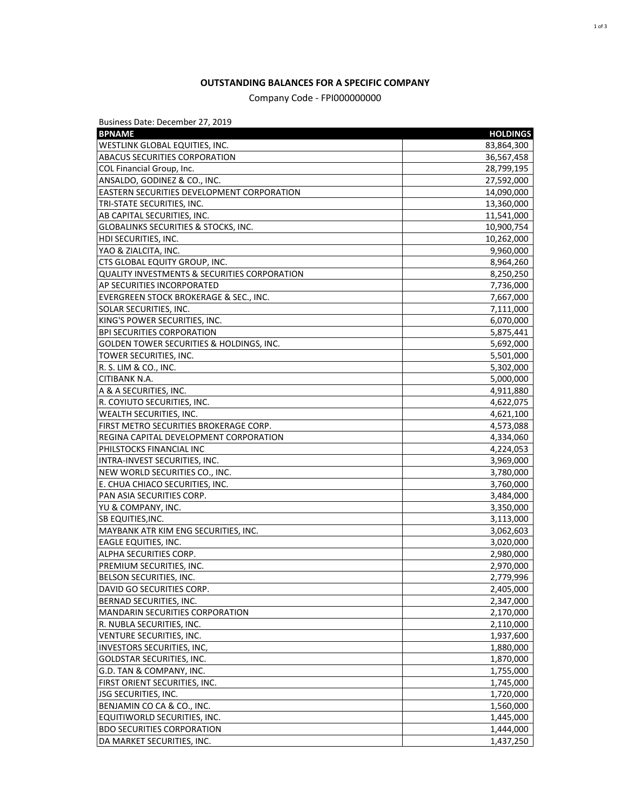## **OUTSTANDING BALANCES FOR A SPECIFIC COMPANY**

## Company Code - FPI000000000

Business Date: December 27, 2019

| <b>BPNAME</b>                                           | <b>HOLDINGS</b>        |
|---------------------------------------------------------|------------------------|
| WESTLINK GLOBAL EQUITIES, INC.                          | 83,864,300             |
| ABACUS SECURITIES CORPORATION                           | 36,567,458             |
| COL Financial Group, Inc.                               | 28,799,195             |
| ANSALDO, GODINEZ & CO., INC.                            | 27,592,000             |
| <b>EASTERN SECURITIES DEVELOPMENT CORPORATION</b>       | 14,090,000             |
| TRI-STATE SECURITIES, INC.                              | 13,360,000             |
| AB CAPITAL SECURITIES, INC.                             | 11,541,000             |
| <b>GLOBALINKS SECURITIES &amp; STOCKS, INC.</b>         | 10,900,754             |
| HDI SECURITIES, INC.                                    | 10,262,000             |
| YAO & ZIALCITA, INC.                                    | 9,960,000              |
| CTS GLOBAL EQUITY GROUP, INC.                           | 8,964,260              |
| <b>QUALITY INVESTMENTS &amp; SECURITIES CORPORATION</b> | 8,250,250              |
| AP SECURITIES INCORPORATED                              | 7,736,000              |
| EVERGREEN STOCK BROKERAGE & SEC., INC.                  | 7,667,000              |
| <b>SOLAR SECURITIES, INC.</b>                           | 7,111,000              |
| KING'S POWER SECURITIES, INC.                           | 6,070,000              |
| <b>BPI SECURITIES CORPORATION</b>                       | 5,875,441              |
| <b>GOLDEN TOWER SECURITIES &amp; HOLDINGS, INC.</b>     | 5,692,000              |
| TOWER SECURITIES, INC.                                  | 5,501,000              |
| R. S. LIM & CO., INC.                                   | 5,302,000              |
| CITIBANK N.A.                                           | 5,000,000              |
| A & A SECURITIES, INC.                                  | 4,911,880              |
| R. COYIUTO SECURITIES, INC.                             | 4,622,075              |
| WEALTH SECURITIES, INC.                                 | 4,621,100              |
| FIRST METRO SECURITIES BROKERAGE CORP.                  | 4,573,088              |
| REGINA CAPITAL DEVELOPMENT CORPORATION                  | 4,334,060              |
| PHILSTOCKS FINANCIAL INC                                | 4,224,053              |
| INTRA-INVEST SECURITIES, INC.                           | 3,969,000              |
| NEW WORLD SECURITIES CO., INC.                          | 3,780,000              |
| E. CHUA CHIACO SECURITIES, INC.                         | 3,760,000              |
| PAN ASIA SECURITIES CORP.                               | 3,484,000              |
| YU & COMPANY, INC.                                      | 3,350,000              |
| SB EQUITIES, INC.                                       | 3,113,000              |
| MAYBANK ATR KIM ENG SECURITIES, INC.                    | 3,062,603              |
| <b>EAGLE EQUITIES, INC.</b>                             | 3,020,000              |
| ALPHA SECURITIES CORP.                                  | 2,980,000              |
| PREMIUM SECURITIES, INC.                                | 2,970,000              |
| BELSON SECURITIES, INC.                                 | 2,779,996              |
| DAVID GO SECURITIES CORP.                               | 2,405,000              |
| BERNAD SECURITIES, INC.                                 | 2,347,000              |
| MANDARIN SECURITIES CORPORATION                         | 2,170,000              |
| R. NUBLA SECURITIES, INC.                               | 2,110,000              |
| <b>VENTURE SECURITIES, INC.</b>                         | 1,937,600              |
| INVESTORS SECURITIES, INC,                              | 1,880,000              |
| <b>GOLDSTAR SECURITIES, INC.</b>                        | 1,870,000              |
| G.D. TAN & COMPANY, INC.                                |                        |
| FIRST ORIENT SECURITIES, INC.                           | 1,755,000              |
| <b>JSG SECURITIES, INC.</b>                             | 1,745,000<br>1,720,000 |
| BENJAMIN CO CA & CO., INC.                              | 1,560,000              |
| EQUITIWORLD SECURITIES, INC.                            |                        |
| <b>BDO SECURITIES CORPORATION</b>                       | 1,445,000              |
|                                                         | 1,444,000              |
| DA MARKET SECURITIES, INC.                              | 1,437,250              |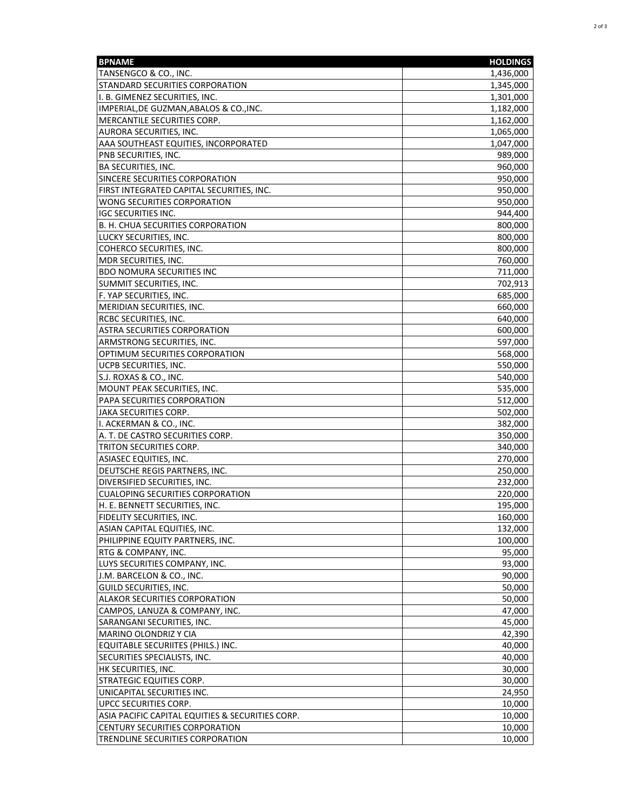| TANSENGCO & CO., INC.<br>1,436,000<br>STANDARD SECURITIES CORPORATION<br>1,345,000<br>I. B. GIMENEZ SECURITIES, INC.<br>1,301,000<br>IMPERIAL, DE GUZMAN, ABALOS & CO., INC.<br>1,182,000<br>MERCANTILE SECURITIES CORP.<br>1,162,000<br>AURORA SECURITIES, INC.<br>1,065,000<br>AAA SOUTHEAST EQUITIES, INCORPORATED<br>1,047,000<br>PNB SECURITIES, INC.<br>989,000<br><b>BA SECURITIES, INC.</b><br>960,000<br>SINCERE SECURITIES CORPORATION<br>950,000<br>FIRST INTEGRATED CAPITAL SECURITIES, INC.<br>950,000<br>WONG SECURITIES CORPORATION<br>950,000<br><b>IGC SECURITIES INC.</b><br>944,400<br>B. H. CHUA SECURITIES CORPORATION<br>800,000<br>LUCKY SECURITIES, INC.<br>800,000<br>COHERCO SECURITIES, INC.<br>800,000<br>MDR SECURITIES, INC.<br>760,000<br><b>BDO NOMURA SECURITIES INC</b><br>711,000<br>SUMMIT SECURITIES, INC.<br>702,913<br>F. YAP SECURITIES, INC.<br>685,000<br>MERIDIAN SECURITIES, INC.<br>660,000<br>RCBC SECURITIES, INC.<br>640,000<br><b>ASTRA SECURITIES CORPORATION</b><br>600,000<br>ARMSTRONG SECURITIES, INC.<br>597,000<br>OPTIMUM SECURITIES CORPORATION<br>568,000<br>UCPB SECURITIES, INC.<br>550,000<br>S.J. ROXAS & CO., INC.<br>540,000<br>MOUNT PEAK SECURITIES, INC.<br>535,000<br>PAPA SECURITIES CORPORATION<br>512,000<br>JAKA SECURITIES CORP.<br>502,000<br>I. ACKERMAN & CO., INC.<br>382,000<br>A. T. DE CASTRO SECURITIES CORP.<br>350,000<br>TRITON SECURITIES CORP.<br>340,000<br>ASIASEC EQUITIES, INC.<br>270,000<br>DEUTSCHE REGIS PARTNERS, INC.<br>250,000<br>DIVERSIFIED SECURITIES, INC.<br>232,000<br><b>CUALOPING SECURITIES CORPORATION</b><br>220,000<br>H. E. BENNETT SECURITIES, INC.<br>195,000<br>FIDELITY SECURITIES, INC.<br>160,000<br>ASIAN CAPITAL EQUITIES, INC.<br>132,000<br>PHILIPPINE EQUITY PARTNERS, INC.<br>100,000<br>RTG & COMPANY, INC.<br>95,000<br>LUYS SECURITIES COMPANY, INC.<br>93,000<br>J.M. BARCELON & CO., INC.<br>90,000<br>GUILD SECURITIES, INC.<br>50,000<br><b>ALAKOR SECURITIES CORPORATION</b><br>50,000<br>CAMPOS, LANUZA & COMPANY, INC.<br>47,000<br>SARANGANI SECURITIES, INC.<br>45,000<br>42,390<br>MARINO OLONDRIZ Y CIA<br>EQUITABLE SECURIITES (PHILS.) INC.<br>40,000<br>SECURITIES SPECIALISTS, INC.<br>40,000<br>HK SECURITIES, INC.<br>30,000<br><b>STRATEGIC EQUITIES CORP.</b><br>30,000<br>UNICAPITAL SECURITIES INC.<br>24,950<br><b>UPCC SECURITIES CORP.</b><br>10,000<br>ASIA PACIFIC CAPITAL EQUITIES & SECURITIES CORP.<br>10,000<br>CENTURY SECURITIES CORPORATION<br>10,000<br>TRENDLINE SECURITIES CORPORATION<br>10,000 | <b>BPNAME</b> | <b>HOLDINGS</b> |
|---------------------------------------------------------------------------------------------------------------------------------------------------------------------------------------------------------------------------------------------------------------------------------------------------------------------------------------------------------------------------------------------------------------------------------------------------------------------------------------------------------------------------------------------------------------------------------------------------------------------------------------------------------------------------------------------------------------------------------------------------------------------------------------------------------------------------------------------------------------------------------------------------------------------------------------------------------------------------------------------------------------------------------------------------------------------------------------------------------------------------------------------------------------------------------------------------------------------------------------------------------------------------------------------------------------------------------------------------------------------------------------------------------------------------------------------------------------------------------------------------------------------------------------------------------------------------------------------------------------------------------------------------------------------------------------------------------------------------------------------------------------------------------------------------------------------------------------------------------------------------------------------------------------------------------------------------------------------------------------------------------------------------------------------------------------------------------------------------------------------------------------------------------------------------------------------------------------------------------------------------------------------------------------------------------------------------------------------------------------------------------------------------------------------------------------------------------------------------------------------------------------------------------------------------------------------|---------------|-----------------|
|                                                                                                                                                                                                                                                                                                                                                                                                                                                                                                                                                                                                                                                                                                                                                                                                                                                                                                                                                                                                                                                                                                                                                                                                                                                                                                                                                                                                                                                                                                                                                                                                                                                                                                                                                                                                                                                                                                                                                                                                                                                                                                                                                                                                                                                                                                                                                                                                                                                                                                                                                                     |               |                 |
|                                                                                                                                                                                                                                                                                                                                                                                                                                                                                                                                                                                                                                                                                                                                                                                                                                                                                                                                                                                                                                                                                                                                                                                                                                                                                                                                                                                                                                                                                                                                                                                                                                                                                                                                                                                                                                                                                                                                                                                                                                                                                                                                                                                                                                                                                                                                                                                                                                                                                                                                                                     |               |                 |
|                                                                                                                                                                                                                                                                                                                                                                                                                                                                                                                                                                                                                                                                                                                                                                                                                                                                                                                                                                                                                                                                                                                                                                                                                                                                                                                                                                                                                                                                                                                                                                                                                                                                                                                                                                                                                                                                                                                                                                                                                                                                                                                                                                                                                                                                                                                                                                                                                                                                                                                                                                     |               |                 |
|                                                                                                                                                                                                                                                                                                                                                                                                                                                                                                                                                                                                                                                                                                                                                                                                                                                                                                                                                                                                                                                                                                                                                                                                                                                                                                                                                                                                                                                                                                                                                                                                                                                                                                                                                                                                                                                                                                                                                                                                                                                                                                                                                                                                                                                                                                                                                                                                                                                                                                                                                                     |               |                 |
|                                                                                                                                                                                                                                                                                                                                                                                                                                                                                                                                                                                                                                                                                                                                                                                                                                                                                                                                                                                                                                                                                                                                                                                                                                                                                                                                                                                                                                                                                                                                                                                                                                                                                                                                                                                                                                                                                                                                                                                                                                                                                                                                                                                                                                                                                                                                                                                                                                                                                                                                                                     |               |                 |
|                                                                                                                                                                                                                                                                                                                                                                                                                                                                                                                                                                                                                                                                                                                                                                                                                                                                                                                                                                                                                                                                                                                                                                                                                                                                                                                                                                                                                                                                                                                                                                                                                                                                                                                                                                                                                                                                                                                                                                                                                                                                                                                                                                                                                                                                                                                                                                                                                                                                                                                                                                     |               |                 |
|                                                                                                                                                                                                                                                                                                                                                                                                                                                                                                                                                                                                                                                                                                                                                                                                                                                                                                                                                                                                                                                                                                                                                                                                                                                                                                                                                                                                                                                                                                                                                                                                                                                                                                                                                                                                                                                                                                                                                                                                                                                                                                                                                                                                                                                                                                                                                                                                                                                                                                                                                                     |               |                 |
|                                                                                                                                                                                                                                                                                                                                                                                                                                                                                                                                                                                                                                                                                                                                                                                                                                                                                                                                                                                                                                                                                                                                                                                                                                                                                                                                                                                                                                                                                                                                                                                                                                                                                                                                                                                                                                                                                                                                                                                                                                                                                                                                                                                                                                                                                                                                                                                                                                                                                                                                                                     |               |                 |
|                                                                                                                                                                                                                                                                                                                                                                                                                                                                                                                                                                                                                                                                                                                                                                                                                                                                                                                                                                                                                                                                                                                                                                                                                                                                                                                                                                                                                                                                                                                                                                                                                                                                                                                                                                                                                                                                                                                                                                                                                                                                                                                                                                                                                                                                                                                                                                                                                                                                                                                                                                     |               |                 |
|                                                                                                                                                                                                                                                                                                                                                                                                                                                                                                                                                                                                                                                                                                                                                                                                                                                                                                                                                                                                                                                                                                                                                                                                                                                                                                                                                                                                                                                                                                                                                                                                                                                                                                                                                                                                                                                                                                                                                                                                                                                                                                                                                                                                                                                                                                                                                                                                                                                                                                                                                                     |               |                 |
|                                                                                                                                                                                                                                                                                                                                                                                                                                                                                                                                                                                                                                                                                                                                                                                                                                                                                                                                                                                                                                                                                                                                                                                                                                                                                                                                                                                                                                                                                                                                                                                                                                                                                                                                                                                                                                                                                                                                                                                                                                                                                                                                                                                                                                                                                                                                                                                                                                                                                                                                                                     |               |                 |
|                                                                                                                                                                                                                                                                                                                                                                                                                                                                                                                                                                                                                                                                                                                                                                                                                                                                                                                                                                                                                                                                                                                                                                                                                                                                                                                                                                                                                                                                                                                                                                                                                                                                                                                                                                                                                                                                                                                                                                                                                                                                                                                                                                                                                                                                                                                                                                                                                                                                                                                                                                     |               |                 |
|                                                                                                                                                                                                                                                                                                                                                                                                                                                                                                                                                                                                                                                                                                                                                                                                                                                                                                                                                                                                                                                                                                                                                                                                                                                                                                                                                                                                                                                                                                                                                                                                                                                                                                                                                                                                                                                                                                                                                                                                                                                                                                                                                                                                                                                                                                                                                                                                                                                                                                                                                                     |               |                 |
|                                                                                                                                                                                                                                                                                                                                                                                                                                                                                                                                                                                                                                                                                                                                                                                                                                                                                                                                                                                                                                                                                                                                                                                                                                                                                                                                                                                                                                                                                                                                                                                                                                                                                                                                                                                                                                                                                                                                                                                                                                                                                                                                                                                                                                                                                                                                                                                                                                                                                                                                                                     |               |                 |
|                                                                                                                                                                                                                                                                                                                                                                                                                                                                                                                                                                                                                                                                                                                                                                                                                                                                                                                                                                                                                                                                                                                                                                                                                                                                                                                                                                                                                                                                                                                                                                                                                                                                                                                                                                                                                                                                                                                                                                                                                                                                                                                                                                                                                                                                                                                                                                                                                                                                                                                                                                     |               |                 |
|                                                                                                                                                                                                                                                                                                                                                                                                                                                                                                                                                                                                                                                                                                                                                                                                                                                                                                                                                                                                                                                                                                                                                                                                                                                                                                                                                                                                                                                                                                                                                                                                                                                                                                                                                                                                                                                                                                                                                                                                                                                                                                                                                                                                                                                                                                                                                                                                                                                                                                                                                                     |               |                 |
|                                                                                                                                                                                                                                                                                                                                                                                                                                                                                                                                                                                                                                                                                                                                                                                                                                                                                                                                                                                                                                                                                                                                                                                                                                                                                                                                                                                                                                                                                                                                                                                                                                                                                                                                                                                                                                                                                                                                                                                                                                                                                                                                                                                                                                                                                                                                                                                                                                                                                                                                                                     |               |                 |
|                                                                                                                                                                                                                                                                                                                                                                                                                                                                                                                                                                                                                                                                                                                                                                                                                                                                                                                                                                                                                                                                                                                                                                                                                                                                                                                                                                                                                                                                                                                                                                                                                                                                                                                                                                                                                                                                                                                                                                                                                                                                                                                                                                                                                                                                                                                                                                                                                                                                                                                                                                     |               |                 |
|                                                                                                                                                                                                                                                                                                                                                                                                                                                                                                                                                                                                                                                                                                                                                                                                                                                                                                                                                                                                                                                                                                                                                                                                                                                                                                                                                                                                                                                                                                                                                                                                                                                                                                                                                                                                                                                                                                                                                                                                                                                                                                                                                                                                                                                                                                                                                                                                                                                                                                                                                                     |               |                 |
|                                                                                                                                                                                                                                                                                                                                                                                                                                                                                                                                                                                                                                                                                                                                                                                                                                                                                                                                                                                                                                                                                                                                                                                                                                                                                                                                                                                                                                                                                                                                                                                                                                                                                                                                                                                                                                                                                                                                                                                                                                                                                                                                                                                                                                                                                                                                                                                                                                                                                                                                                                     |               |                 |
|                                                                                                                                                                                                                                                                                                                                                                                                                                                                                                                                                                                                                                                                                                                                                                                                                                                                                                                                                                                                                                                                                                                                                                                                                                                                                                                                                                                                                                                                                                                                                                                                                                                                                                                                                                                                                                                                                                                                                                                                                                                                                                                                                                                                                                                                                                                                                                                                                                                                                                                                                                     |               |                 |
|                                                                                                                                                                                                                                                                                                                                                                                                                                                                                                                                                                                                                                                                                                                                                                                                                                                                                                                                                                                                                                                                                                                                                                                                                                                                                                                                                                                                                                                                                                                                                                                                                                                                                                                                                                                                                                                                                                                                                                                                                                                                                                                                                                                                                                                                                                                                                                                                                                                                                                                                                                     |               |                 |
|                                                                                                                                                                                                                                                                                                                                                                                                                                                                                                                                                                                                                                                                                                                                                                                                                                                                                                                                                                                                                                                                                                                                                                                                                                                                                                                                                                                                                                                                                                                                                                                                                                                                                                                                                                                                                                                                                                                                                                                                                                                                                                                                                                                                                                                                                                                                                                                                                                                                                                                                                                     |               |                 |
|                                                                                                                                                                                                                                                                                                                                                                                                                                                                                                                                                                                                                                                                                                                                                                                                                                                                                                                                                                                                                                                                                                                                                                                                                                                                                                                                                                                                                                                                                                                                                                                                                                                                                                                                                                                                                                                                                                                                                                                                                                                                                                                                                                                                                                                                                                                                                                                                                                                                                                                                                                     |               |                 |
|                                                                                                                                                                                                                                                                                                                                                                                                                                                                                                                                                                                                                                                                                                                                                                                                                                                                                                                                                                                                                                                                                                                                                                                                                                                                                                                                                                                                                                                                                                                                                                                                                                                                                                                                                                                                                                                                                                                                                                                                                                                                                                                                                                                                                                                                                                                                                                                                                                                                                                                                                                     |               |                 |
|                                                                                                                                                                                                                                                                                                                                                                                                                                                                                                                                                                                                                                                                                                                                                                                                                                                                                                                                                                                                                                                                                                                                                                                                                                                                                                                                                                                                                                                                                                                                                                                                                                                                                                                                                                                                                                                                                                                                                                                                                                                                                                                                                                                                                                                                                                                                                                                                                                                                                                                                                                     |               |                 |
|                                                                                                                                                                                                                                                                                                                                                                                                                                                                                                                                                                                                                                                                                                                                                                                                                                                                                                                                                                                                                                                                                                                                                                                                                                                                                                                                                                                                                                                                                                                                                                                                                                                                                                                                                                                                                                                                                                                                                                                                                                                                                                                                                                                                                                                                                                                                                                                                                                                                                                                                                                     |               |                 |
|                                                                                                                                                                                                                                                                                                                                                                                                                                                                                                                                                                                                                                                                                                                                                                                                                                                                                                                                                                                                                                                                                                                                                                                                                                                                                                                                                                                                                                                                                                                                                                                                                                                                                                                                                                                                                                                                                                                                                                                                                                                                                                                                                                                                                                                                                                                                                                                                                                                                                                                                                                     |               |                 |
|                                                                                                                                                                                                                                                                                                                                                                                                                                                                                                                                                                                                                                                                                                                                                                                                                                                                                                                                                                                                                                                                                                                                                                                                                                                                                                                                                                                                                                                                                                                                                                                                                                                                                                                                                                                                                                                                                                                                                                                                                                                                                                                                                                                                                                                                                                                                                                                                                                                                                                                                                                     |               |                 |
|                                                                                                                                                                                                                                                                                                                                                                                                                                                                                                                                                                                                                                                                                                                                                                                                                                                                                                                                                                                                                                                                                                                                                                                                                                                                                                                                                                                                                                                                                                                                                                                                                                                                                                                                                                                                                                                                                                                                                                                                                                                                                                                                                                                                                                                                                                                                                                                                                                                                                                                                                                     |               |                 |
|                                                                                                                                                                                                                                                                                                                                                                                                                                                                                                                                                                                                                                                                                                                                                                                                                                                                                                                                                                                                                                                                                                                                                                                                                                                                                                                                                                                                                                                                                                                                                                                                                                                                                                                                                                                                                                                                                                                                                                                                                                                                                                                                                                                                                                                                                                                                                                                                                                                                                                                                                                     |               |                 |
|                                                                                                                                                                                                                                                                                                                                                                                                                                                                                                                                                                                                                                                                                                                                                                                                                                                                                                                                                                                                                                                                                                                                                                                                                                                                                                                                                                                                                                                                                                                                                                                                                                                                                                                                                                                                                                                                                                                                                                                                                                                                                                                                                                                                                                                                                                                                                                                                                                                                                                                                                                     |               |                 |
|                                                                                                                                                                                                                                                                                                                                                                                                                                                                                                                                                                                                                                                                                                                                                                                                                                                                                                                                                                                                                                                                                                                                                                                                                                                                                                                                                                                                                                                                                                                                                                                                                                                                                                                                                                                                                                                                                                                                                                                                                                                                                                                                                                                                                                                                                                                                                                                                                                                                                                                                                                     |               |                 |
|                                                                                                                                                                                                                                                                                                                                                                                                                                                                                                                                                                                                                                                                                                                                                                                                                                                                                                                                                                                                                                                                                                                                                                                                                                                                                                                                                                                                                                                                                                                                                                                                                                                                                                                                                                                                                                                                                                                                                                                                                                                                                                                                                                                                                                                                                                                                                                                                                                                                                                                                                                     |               |                 |
|                                                                                                                                                                                                                                                                                                                                                                                                                                                                                                                                                                                                                                                                                                                                                                                                                                                                                                                                                                                                                                                                                                                                                                                                                                                                                                                                                                                                                                                                                                                                                                                                                                                                                                                                                                                                                                                                                                                                                                                                                                                                                                                                                                                                                                                                                                                                                                                                                                                                                                                                                                     |               |                 |
|                                                                                                                                                                                                                                                                                                                                                                                                                                                                                                                                                                                                                                                                                                                                                                                                                                                                                                                                                                                                                                                                                                                                                                                                                                                                                                                                                                                                                                                                                                                                                                                                                                                                                                                                                                                                                                                                                                                                                                                                                                                                                                                                                                                                                                                                                                                                                                                                                                                                                                                                                                     |               |                 |
|                                                                                                                                                                                                                                                                                                                                                                                                                                                                                                                                                                                                                                                                                                                                                                                                                                                                                                                                                                                                                                                                                                                                                                                                                                                                                                                                                                                                                                                                                                                                                                                                                                                                                                                                                                                                                                                                                                                                                                                                                                                                                                                                                                                                                                                                                                                                                                                                                                                                                                                                                                     |               |                 |
|                                                                                                                                                                                                                                                                                                                                                                                                                                                                                                                                                                                                                                                                                                                                                                                                                                                                                                                                                                                                                                                                                                                                                                                                                                                                                                                                                                                                                                                                                                                                                                                                                                                                                                                                                                                                                                                                                                                                                                                                                                                                                                                                                                                                                                                                                                                                                                                                                                                                                                                                                                     |               |                 |
|                                                                                                                                                                                                                                                                                                                                                                                                                                                                                                                                                                                                                                                                                                                                                                                                                                                                                                                                                                                                                                                                                                                                                                                                                                                                                                                                                                                                                                                                                                                                                                                                                                                                                                                                                                                                                                                                                                                                                                                                                                                                                                                                                                                                                                                                                                                                                                                                                                                                                                                                                                     |               |                 |
|                                                                                                                                                                                                                                                                                                                                                                                                                                                                                                                                                                                                                                                                                                                                                                                                                                                                                                                                                                                                                                                                                                                                                                                                                                                                                                                                                                                                                                                                                                                                                                                                                                                                                                                                                                                                                                                                                                                                                                                                                                                                                                                                                                                                                                                                                                                                                                                                                                                                                                                                                                     |               |                 |
|                                                                                                                                                                                                                                                                                                                                                                                                                                                                                                                                                                                                                                                                                                                                                                                                                                                                                                                                                                                                                                                                                                                                                                                                                                                                                                                                                                                                                                                                                                                                                                                                                                                                                                                                                                                                                                                                                                                                                                                                                                                                                                                                                                                                                                                                                                                                                                                                                                                                                                                                                                     |               |                 |
|                                                                                                                                                                                                                                                                                                                                                                                                                                                                                                                                                                                                                                                                                                                                                                                                                                                                                                                                                                                                                                                                                                                                                                                                                                                                                                                                                                                                                                                                                                                                                                                                                                                                                                                                                                                                                                                                                                                                                                                                                                                                                                                                                                                                                                                                                                                                                                                                                                                                                                                                                                     |               |                 |
|                                                                                                                                                                                                                                                                                                                                                                                                                                                                                                                                                                                                                                                                                                                                                                                                                                                                                                                                                                                                                                                                                                                                                                                                                                                                                                                                                                                                                                                                                                                                                                                                                                                                                                                                                                                                                                                                                                                                                                                                                                                                                                                                                                                                                                                                                                                                                                                                                                                                                                                                                                     |               |                 |
|                                                                                                                                                                                                                                                                                                                                                                                                                                                                                                                                                                                                                                                                                                                                                                                                                                                                                                                                                                                                                                                                                                                                                                                                                                                                                                                                                                                                                                                                                                                                                                                                                                                                                                                                                                                                                                                                                                                                                                                                                                                                                                                                                                                                                                                                                                                                                                                                                                                                                                                                                                     |               |                 |
|                                                                                                                                                                                                                                                                                                                                                                                                                                                                                                                                                                                                                                                                                                                                                                                                                                                                                                                                                                                                                                                                                                                                                                                                                                                                                                                                                                                                                                                                                                                                                                                                                                                                                                                                                                                                                                                                                                                                                                                                                                                                                                                                                                                                                                                                                                                                                                                                                                                                                                                                                                     |               |                 |
|                                                                                                                                                                                                                                                                                                                                                                                                                                                                                                                                                                                                                                                                                                                                                                                                                                                                                                                                                                                                                                                                                                                                                                                                                                                                                                                                                                                                                                                                                                                                                                                                                                                                                                                                                                                                                                                                                                                                                                                                                                                                                                                                                                                                                                                                                                                                                                                                                                                                                                                                                                     |               |                 |
|                                                                                                                                                                                                                                                                                                                                                                                                                                                                                                                                                                                                                                                                                                                                                                                                                                                                                                                                                                                                                                                                                                                                                                                                                                                                                                                                                                                                                                                                                                                                                                                                                                                                                                                                                                                                                                                                                                                                                                                                                                                                                                                                                                                                                                                                                                                                                                                                                                                                                                                                                                     |               |                 |
|                                                                                                                                                                                                                                                                                                                                                                                                                                                                                                                                                                                                                                                                                                                                                                                                                                                                                                                                                                                                                                                                                                                                                                                                                                                                                                                                                                                                                                                                                                                                                                                                                                                                                                                                                                                                                                                                                                                                                                                                                                                                                                                                                                                                                                                                                                                                                                                                                                                                                                                                                                     |               |                 |
|                                                                                                                                                                                                                                                                                                                                                                                                                                                                                                                                                                                                                                                                                                                                                                                                                                                                                                                                                                                                                                                                                                                                                                                                                                                                                                                                                                                                                                                                                                                                                                                                                                                                                                                                                                                                                                                                                                                                                                                                                                                                                                                                                                                                                                                                                                                                                                                                                                                                                                                                                                     |               |                 |
|                                                                                                                                                                                                                                                                                                                                                                                                                                                                                                                                                                                                                                                                                                                                                                                                                                                                                                                                                                                                                                                                                                                                                                                                                                                                                                                                                                                                                                                                                                                                                                                                                                                                                                                                                                                                                                                                                                                                                                                                                                                                                                                                                                                                                                                                                                                                                                                                                                                                                                                                                                     |               |                 |
|                                                                                                                                                                                                                                                                                                                                                                                                                                                                                                                                                                                                                                                                                                                                                                                                                                                                                                                                                                                                                                                                                                                                                                                                                                                                                                                                                                                                                                                                                                                                                                                                                                                                                                                                                                                                                                                                                                                                                                                                                                                                                                                                                                                                                                                                                                                                                                                                                                                                                                                                                                     |               |                 |
|                                                                                                                                                                                                                                                                                                                                                                                                                                                                                                                                                                                                                                                                                                                                                                                                                                                                                                                                                                                                                                                                                                                                                                                                                                                                                                                                                                                                                                                                                                                                                                                                                                                                                                                                                                                                                                                                                                                                                                                                                                                                                                                                                                                                                                                                                                                                                                                                                                                                                                                                                                     |               |                 |
|                                                                                                                                                                                                                                                                                                                                                                                                                                                                                                                                                                                                                                                                                                                                                                                                                                                                                                                                                                                                                                                                                                                                                                                                                                                                                                                                                                                                                                                                                                                                                                                                                                                                                                                                                                                                                                                                                                                                                                                                                                                                                                                                                                                                                                                                                                                                                                                                                                                                                                                                                                     |               |                 |
|                                                                                                                                                                                                                                                                                                                                                                                                                                                                                                                                                                                                                                                                                                                                                                                                                                                                                                                                                                                                                                                                                                                                                                                                                                                                                                                                                                                                                                                                                                                                                                                                                                                                                                                                                                                                                                                                                                                                                                                                                                                                                                                                                                                                                                                                                                                                                                                                                                                                                                                                                                     |               |                 |
|                                                                                                                                                                                                                                                                                                                                                                                                                                                                                                                                                                                                                                                                                                                                                                                                                                                                                                                                                                                                                                                                                                                                                                                                                                                                                                                                                                                                                                                                                                                                                                                                                                                                                                                                                                                                                                                                                                                                                                                                                                                                                                                                                                                                                                                                                                                                                                                                                                                                                                                                                                     |               |                 |
|                                                                                                                                                                                                                                                                                                                                                                                                                                                                                                                                                                                                                                                                                                                                                                                                                                                                                                                                                                                                                                                                                                                                                                                                                                                                                                                                                                                                                                                                                                                                                                                                                                                                                                                                                                                                                                                                                                                                                                                                                                                                                                                                                                                                                                                                                                                                                                                                                                                                                                                                                                     |               |                 |
|                                                                                                                                                                                                                                                                                                                                                                                                                                                                                                                                                                                                                                                                                                                                                                                                                                                                                                                                                                                                                                                                                                                                                                                                                                                                                                                                                                                                                                                                                                                                                                                                                                                                                                                                                                                                                                                                                                                                                                                                                                                                                                                                                                                                                                                                                                                                                                                                                                                                                                                                                                     |               |                 |
|                                                                                                                                                                                                                                                                                                                                                                                                                                                                                                                                                                                                                                                                                                                                                                                                                                                                                                                                                                                                                                                                                                                                                                                                                                                                                                                                                                                                                                                                                                                                                                                                                                                                                                                                                                                                                                                                                                                                                                                                                                                                                                                                                                                                                                                                                                                                                                                                                                                                                                                                                                     |               |                 |